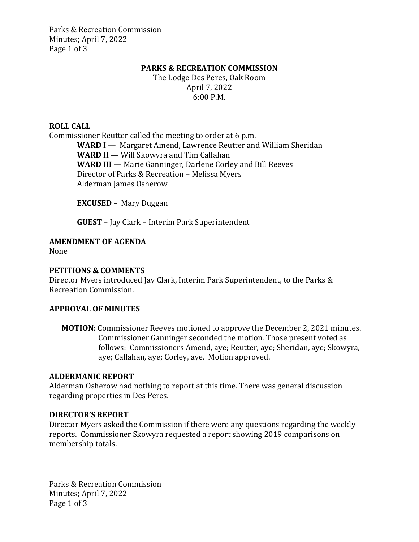Parks & Recreation Commission Minutes; April 7, 2022 Page 1 of 3

#### **PARKS & RECREATION COMMISSION**

The Lodge Des Peres, Oak Room April 7, 2022 6:00 P.M.

#### **ROLL CALL**

Commissioner Reutter called the meeting to order at 6 p.m. **WARD I** — Margaret Amend, Lawrence Reutter and William Sheridan **WARD II** — Will Skowyra and Tim Callahan WARD III — Marie Ganninger, Darlene Corley and Bill Reeves Director of Parks & Recreation – Melissa Myers Alderman James Osherow

**EXCUSED** –Mary Duggan

**GUEST** – Jay Clark – Interim Park Superintendent

## **AMENDMENT OF AGENDA**

None

### **PETITIONS & COMMENTS**

Director Myers introduced Jay Clark, Interim Park Superintendent, to the Parks & Recreation Commission.

#### **APPROVAL OF MINUTES**

**MOTION:** Commissioner Reeves motioned to approve the December 2, 2021 minutes. Commissioner Ganninger seconded the motion. Those present voted as follows: Commissioners Amend, aye; Reutter, aye; Sheridan, aye; Skowyra, aye; Callahan, aye; Corley, aye. Motion approved.

#### **ALDERMANIC REPORT**

Alderman Osherow had nothing to report at this time. There was general discussion regarding properties in Des Peres.

#### **DIRECTOR'S REPORT**

Director Myers asked the Commission if there were any questions regarding the weekly reports. Commissioner Skowyra requested a report showing 2019 comparisons on membership totals.

Parks & Recreation Commission Minutes; April 7, 2022 Page 1 of 3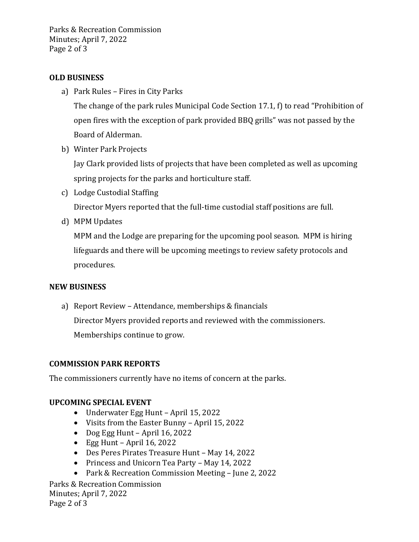Parks & Recreation Commission Minutes; April 7, 2022 Page 2 of 3

## **OLD BUSINESS**

a) Park Rules – Fires in City Parks

The change of the park rules Municipal Code Section 17.1, f) to read "Prohibition of open fires with the exception of park provided BBQ grills" was not passed by the Board of Alderman.

b) Winter Park Projects

Jay Clark provided lists of projects that have been completed as well as upcoming spring projects for the parks and horticulture staff.

- c) Lodge Custodial Staffing Director Myers reported that the full-time custodial staff positions are full.
- d) MPM Updates

MPM and the Lodge are preparing for the upcoming pool season. MPM is hiring lifeguards and there will be upcoming meetings to review safety protocols and procedures.

### **NEW BUSINESS**

a) Report Review – Attendance, memberships & financials Director Myers provided reports and reviewed with the commissioners.

Memberships continue to grow.

### **COMMISSION PARK REPORTS**

The commissioners currently have no items of concern at the parks.

### **UPCOMING SPECIAL EVENT**

- Underwater Egg Hunt April 15, 2022
- Visits from the Easter Bunny April 15, 2022
- Dog Egg Hunt April 16, 2022
- $\bullet$  Egg Hunt April 16, 2022
- Des Peres Pirates Treasure Hunt May 14, 2022
- Princess and Unicorn Tea Party May 14, 2022
- Park & Recreation Commission Meeting June 2, 2022

Parks & Recreation Commission Minutes; April 7, 2022 Page 2 of 3